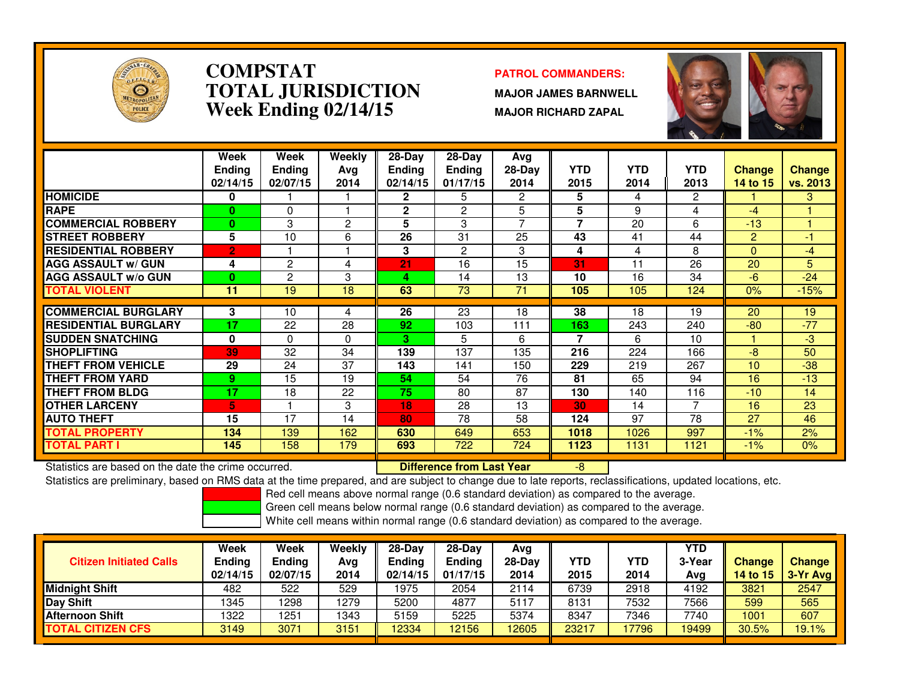

### **COMPSTAT PATROL COMMANDERS: TOTAL JURISDICTIONWeek Ending 02/14/15**

 **MAJOR JAMES BARNWELL MAJOR RICHARD ZAPAL**



|                             | Week<br><b>Ending</b><br>02/14/15 | Week<br><b>Ending</b><br>02/07/15 | Weekly<br>Ava<br>2014 | $28-Dav$<br><b>Ending</b><br>02/14/15 | $28-Day$<br>Endina<br>01/17/15 | Avg<br>$28-Dav$<br>2014 | <b>YTD</b><br>2015 | <b>YTD</b><br>2014 | <b>YTD</b><br>2013 | <b>Change</b><br><b>14 to 15</b> | <b>Change</b><br>vs. 2013 |
|-----------------------------|-----------------------------------|-----------------------------------|-----------------------|---------------------------------------|--------------------------------|-------------------------|--------------------|--------------------|--------------------|----------------------------------|---------------------------|
| <b>HOMICIDE</b>             | 0                                 |                                   |                       | $\overline{2}$                        | 5                              | $\overline{2}$          | 5                  | 4                  | $\overline{c}$     |                                  | 3                         |
| <b>RAPE</b>                 | 0                                 | $\Omega$                          |                       | $\mathbf{2}$                          | 2                              | 5                       | 5                  | 9                  | 4                  | -4                               |                           |
| <b>COMMERCIAL ROBBERY</b>   | $\bf{0}$                          | 3                                 | 2                     | 5                                     | 3                              | $\overline{ }$          | 7                  | 20                 | 6                  | $-13$                            |                           |
| <b>STREET ROBBERY</b>       | 5                                 | 10                                | 6                     | 26                                    | 31                             | 25                      | 43                 | 41                 | 44                 | $\overline{2}$                   | $-1$                      |
| <b>RESIDENTIAL ROBBERY</b>  | 2                                 |                                   |                       | 3                                     | 2                              | 3                       | 4                  | 4                  | 8                  | $\Omega$                         | $-4$                      |
| <b>AGG ASSAULT w/ GUN</b>   | 4                                 | $\overline{c}$                    | 4                     | 21                                    | 16                             | $\overline{15}$         | 31                 | 11                 | 26                 | 20                               | $\overline{5}$            |
| <b>AGG ASSAULT w/o GUN</b>  | 0                                 | 2                                 | 3                     | 4                                     | 14                             | 13                      | 10                 | 16                 | 34                 | -6                               | $-24$                     |
| <b>TOTAL VIOLENT</b>        | 11                                | 19                                | 18                    | 63                                    | 73                             | 71                      | 105                | 105                | 124                | 0%                               | $-15%$                    |
|                             |                                   |                                   |                       |                                       |                                |                         |                    |                    |                    |                                  |                           |
| <b>COMMERCIAL BURGLARY</b>  | 3                                 | 10                                | 4                     | 26                                    | 23                             | 18                      | 38                 | 18                 | 19                 | 20                               | 19                        |
| <b>RESIDENTIAL BURGLARY</b> | 17                                | 22                                | 28                    | 92                                    | 103                            | 111                     | 163                | 243                | 240                | $-80$                            | $-77$                     |
| <b>SUDDEN SNATCHING</b>     | 0                                 | $\Omega$                          | $\Omega$              | 3                                     | 5                              | 6                       | 7                  | 6                  | 10                 |                                  | $-3$                      |
| <b>SHOPLIFTING</b>          | 39                                | 32                                | 34                    | 139                                   | 137                            | 135                     | 216                | 224                | 166                | -8                               | 50                        |
| <b>THEFT FROM VEHICLE</b>   | 29                                | 24                                | 37                    | 143                                   | 141                            | 150                     | 229                | 219                | 267                | 10                               | $-38$                     |
| <b>THEFT FROM YARD</b>      | 9                                 | 15                                | 19                    | 54                                    | 54                             | 76                      | 81                 | 65                 | 94                 | 16                               | $-13$                     |
| <b>THEFT FROM BLDG</b>      | 17                                | 18                                | 22                    | 75                                    | 80                             | 87                      | 130                | 140                | 116                | $-10$                            | 14                        |
| <b>OTHER LARCENY</b>        | 5                                 |                                   | 3                     | 18                                    | 28                             | 13                      | 30                 | 14                 | 7                  | 16                               | 23                        |
| <b>AUTO THEFT</b>           | 15                                | 17                                | 14                    | 80                                    | 78                             | 58                      | 124                | 97                 | 78                 | 27                               | 46                        |
| <b>TOTAL PROPERTY</b>       | 134                               | 139                               | 162                   | 630                                   | 649                            | 653                     | 1018               | 1026               | 997                | $-1%$                            | 2%                        |
| <b>TOTAL PART I</b>         | 145                               | 158                               | 179                   | 693                                   | 722                            | 724                     | 1123               | 1131               | 1121               | $-1%$                            | 0%                        |

Statistics are based on the date the crime occurred. **Difference from Last Year** 

Statistics are based on the date the crime occurred. **Interpree the Supersed Conference from Last Year The Confe**<br>Statistics are preliminary, based on RMS data at the time prepared, and are subject to change due to late re

Red cell means above normal range (0.6 standard deviation) as compared to the average.

Green cell means below normal range (0.6 standard deviation) as compared to the average.

| <b>Citizen Initiated Calls</b> | Week<br><b>Ending</b><br>02/14/15 | Week<br><b>Ending</b><br>02/07/15 | Weekly<br>Avg<br>2014 | $28-Dav$<br><b>Ending</b><br>02/14/15 | $28-Day$<br><b>Ending</b><br>01/17/15 | Avg<br>$28-Day$<br>2014 | YTD<br>2015 | YTD<br>2014 | <b>YTD</b><br>3-Year<br>Avg | <b>Change</b><br>14 to $151$ | <b>Change</b><br>1 3-Yr Avg |
|--------------------------------|-----------------------------------|-----------------------------------|-----------------------|---------------------------------------|---------------------------------------|-------------------------|-------------|-------------|-----------------------------|------------------------------|-----------------------------|
| <b>Midnight Shift</b>          | 482                               | 522                               | 529                   | 1975                                  | 2054                                  | 2114                    | 6739        | 2918        | 4192                        | 3821                         | 2547                        |
| Day Shift                      | 1345                              | 298                               | 1279                  | 5200                                  | 4877                                  | 5117                    | 8131        | 7532        | 7566                        | 599                          | 565                         |
| <b>Afternoon Shift</b>         | 1322                              | 251                               | 1343                  | 5159                                  | 5225                                  | 5374                    | 8347        | 7346        | 7740                        | 1001                         | 607                         |
| <b>TOTAL CITIZEN CFS</b>       | 3149                              | 3071                              | 3151                  | 12334                                 | 12156                                 | 12605                   | 23217       | 7796        | 19499                       | 30.5%                        | 19.1%                       |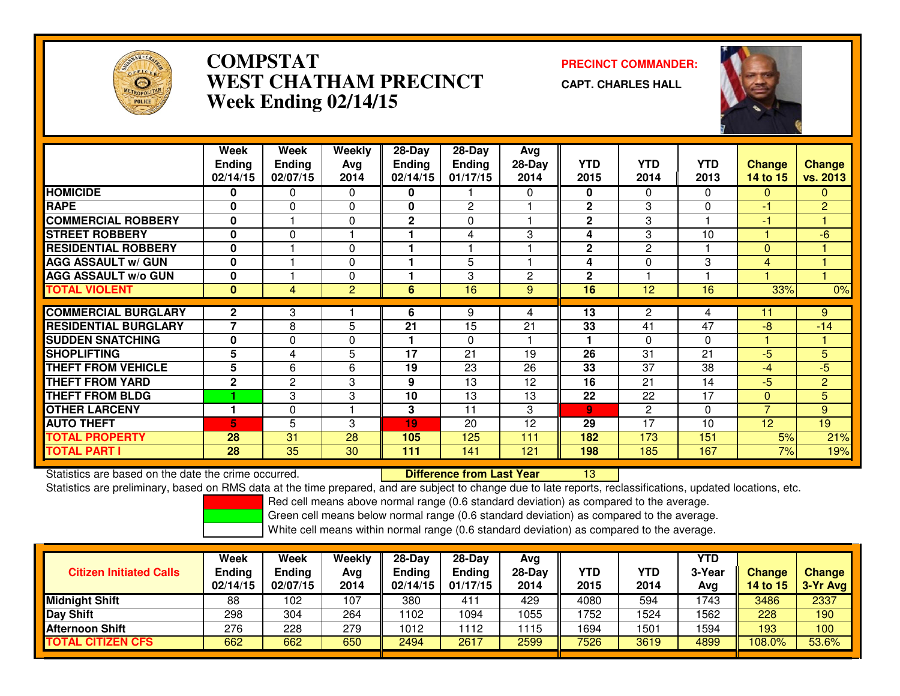

# **COMPSTAT PRECINCT COMMANDER: WEST CHATHAM PRECINCTWeek Ending 02/14/15**

**CAPT. CHARLES HALL**



|                             | Week           | Week           | Weekly         | $28 - Day$     | $28 - Day$     | Avg            |                |                |            |                |                |
|-----------------------------|----------------|----------------|----------------|----------------|----------------|----------------|----------------|----------------|------------|----------------|----------------|
|                             | <b>Ending</b>  | <b>Ending</b>  | Avg            | <b>Ending</b>  | <b>Ending</b>  | $28-Day$       | <b>YTD</b>     | <b>YTD</b>     | <b>YTD</b> | <b>Change</b>  | <b>Change</b>  |
|                             | 02/14/15       | 02/07/15       | 2014           | 02/14/15       | 01/17/15       | 2014           | 2015           | 2014           | 2013       | 14 to 15       | vs. 2013       |
| <b>HOMICIDE</b>             | 0              | $\Omega$       | $\Omega$       | 0              |                | 0              | 0              | 0              | $\Omega$   | $\mathbf{0}$   | $\mathbf{0}$   |
| <b>RAPE</b>                 | 0              | $\Omega$       | $\Omega$       | 0              | $\overline{2}$ |                | $\mathbf{2}$   | 3              | $\Omega$   | -1             | 2              |
| <b>COMMERCIAL ROBBERY</b>   | $\bf{0}$       |                | $\Omega$       | $\overline{2}$ | $\Omega$       |                | $\mathbf{2}$   | 3              |            | -1             |                |
| <b>STREET ROBBERY</b>       | $\bf{0}$       | $\Omega$       |                |                | 4              | 3              | 4              | 3              | 10         |                | $-6$           |
| <b>RESIDENTIAL ROBBERY</b>  | $\bf{0}$       |                | $\Omega$       |                |                |                | $\mathbf{2}$   | $\overline{2}$ |            | $\Omega$       |                |
| <b>AGG ASSAULT w/ GUN</b>   | $\bf{0}$       |                | 0              |                | 5              |                | 4              | 0              | 3          | $\overline{4}$ |                |
| <b>AGG ASSAULT w/o GUN</b>  | $\bf{0}$       |                | $\Omega$       |                | 3              | $\overline{2}$ | $\mathbf{2}$   |                |            |                |                |
| <b>TOTAL VIOLENT</b>        | $\bf{0}$       | $\overline{4}$ | $\overline{2}$ | 6              | 16             | 9              | 16             | 12             | 16         | 33%            | $0\%$          |
|                             |                |                |                |                |                |                |                |                |            |                |                |
| <b>COMMERCIAL BURGLARY</b>  | $\mathbf{2}$   | 3              |                | 6              | 9              | 4              | 13             | 2              | 4          | 11             | 9              |
| <b>RESIDENTIAL BURGLARY</b> | $\overline{7}$ | 8              | 5              | 21             | 15             | 21             | 33             | 41             | 47         | $-8$           | $-14$          |
| <b>SUDDEN SNATCHING</b>     | $\bf{0}$       | $\Omega$       | $\Omega$       |                | $\Omega$       |                |                | $\Omega$       | $\Omega$   |                |                |
| <b>SHOPLIFTING</b>          | 5              | 4              | 5              | 17             | 21             | 19             | 26             | 31             | 21         | $-5$           | 5              |
| <b>THEFT FROM VEHICLE</b>   | 5              | 6              | 6              | 19             | 23             | 26             | 33             | 37             | 38         | -4             | $-5$           |
| <b>THEFT FROM YARD</b>      | $\mathbf 2$    | $\overline{2}$ | 3              | 9              | 13             | 12             | 16             | 21             | 14         | $-5$           | $\overline{2}$ |
| <b>THEFT FROM BLDG</b>      |                | 3              | 3              | 10             | 13             | 13             | 22             | 22             | 17         | $\Omega$       | 5              |
| <b>OTHER LARCENY</b>        |                | $\Omega$       |                | 3              | 11             | 3              | $\overline{9}$ | $\overline{c}$ | $\Omega$   | $\overline{7}$ | 9              |
| <b>AUTO THEFT</b>           | 5              | 5              | 3              | 19             | 20             | 12             | 29             | 17             | 10         | 12             | 19             |
| <b>TOTAL PROPERTY</b>       | 28             | 31             | 28             | 105            | 125            | 111            | 182            | 173            | 151        | 5%             | 21%            |
| <b>TOTAL PART I</b>         | 28             | 35             | 30             | 111            | 141            | 121            | 198            | 185            | 167        | 7%             | 19%            |

Statistics are based on the date the crime occurred. **Difference from Last Year**  <sup>13</sup>Statistics are preliminary, based on RMS data at the time prepared, and are subject to change due to late reports, reclassifications, updated locations, etc.

Red cell means above normal range (0.6 standard deviation) as compared to the average.

Green cell means below normal range (0.6 standard deviation) as compared to the average.

| <b>Citizen Initiated Calls</b> | Week<br><b>Ending</b><br>02/14/15 | Week<br><b>Ending</b><br>02/07/15 | Weekly<br>Avg<br>2014 | $28-Dav$<br>Ending<br>02/14/15 | $28-Day$<br><b>Ending</b><br>01/17/15 | Avg<br>$28-Day$<br>2014 | YTD<br>2015 | <b>YTD</b><br>2014 | YTD<br>3-Year<br>Avg | <b>Change</b><br>14 to 15 | <b>Change</b><br>3-Yr Avg |
|--------------------------------|-----------------------------------|-----------------------------------|-----------------------|--------------------------------|---------------------------------------|-------------------------|-------------|--------------------|----------------------|---------------------------|---------------------------|
| <b>Midnight Shift</b>          | 88                                | 102                               | 107                   | 380                            | 411                                   | 429                     | 4080        | 594                | 1743                 | 3486                      | 2337                      |
| <b>Day Shift</b>               | 298                               | 304                               | 264                   | 1102                           | 1094                                  | 1055                    | 1752        | 1524               | 1562                 | 228                       | 190                       |
| <b>Afternoon Shift</b>         | 276                               | 228                               | 279                   | 1012                           | 112                                   | 1115                    | 1694        | 1501               | 1594                 | 193                       | 100                       |
| <b>TOTAL CITIZEN CFS</b>       | 662                               | 662                               | 650                   | 2494                           | 2617                                  | 2599                    | 7526        | 3619               | 4899                 | 108.0%                    | 53.6%                     |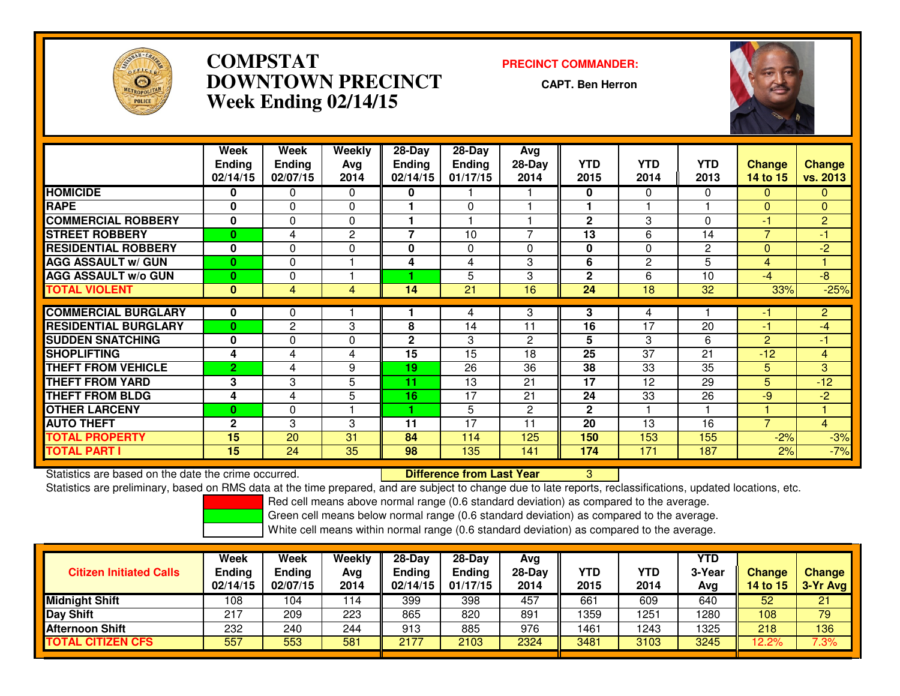

# **COMPSTAT PRECINCT COMMANDER: DOWNTOWN PRECINCTWeek Ending 02/14/15**

**CAPT. Ben Herron**



|                             | Week           | Week           | Weekly       | $28$ -Day     | $28 - Day$    | Avg      |              |              |                |                |                |
|-----------------------------|----------------|----------------|--------------|---------------|---------------|----------|--------------|--------------|----------------|----------------|----------------|
|                             | <b>Ending</b>  | <b>Ending</b>  | Ava          | <b>Ending</b> | <b>Ending</b> | $28-Day$ | <b>YTD</b>   | <b>YTD</b>   | <b>YTD</b>     | <b>Change</b>  | <b>Change</b>  |
|                             | 02/14/15       | 02/07/15       | 2014         | 02/14/15      | 01/17/15      | 2014     | 2015         | 2014         | 2013           | 14 to 15       | vs. 2013       |
| <b>HOMICIDE</b>             | 0              | 0              | $\Omega$     | 0             |               |          | 0            | $\mathbf{0}$ | $\Omega$       | $\Omega$       | $\overline{0}$ |
| <b>RAPE</b>                 | $\bf{0}$       | 0              | $\Omega$     |               | 0             |          |              |              |                | $\Omega$       | $\mathbf{0}$   |
| <b>COMMERCIAL ROBBERY</b>   | $\bf{0}$       | $\Omega$       | 0            |               |               |          | $\mathbf{2}$ | 3            | 0              | -1             | $\overline{2}$ |
| <b>STREET ROBBERY</b>       | $\bf{0}$       | 4              | $\mathbf{2}$ | 7             | 10            | 7        | 13           | 6            | 14             | $\overline{7}$ | $-1$           |
| <b>RESIDENTIAL ROBBERY</b>  | $\mathbf{0}$   | $\Omega$       | $\Omega$     | 0             | $\Omega$      | 0        | $\bf{0}$     | $\Omega$     | $\overline{2}$ | $\Omega$       | $-2$           |
| <b>AGG ASSAULT w/ GUN</b>   | $\mathbf{0}$   | 0              |              | 4             | 4             | 3        | 6            | 2            | 5              | 4              |                |
| <b>AGG ASSAULT w/o GUN</b>  | $\bf{0}$       | 0              |              |               | 5             | 3        | $\mathbf{2}$ | 6            | 10             | $-4$           | $-8$           |
| <b>TOTAL VIOLENT</b>        | $\bf{0}$       | $\overline{4}$ | 4            | 14            | 21            | 16       | 24           | 18           | 32             | 33%            | $-25%$         |
|                             |                |                |              |               |               |          |              |              |                |                |                |
| <b>COMMERCIAL BURGLARY</b>  | 0              | 0              |              |               | 4             | 3        | 3            | 4            |                | -1             | $\overline{2}$ |
| <b>RESIDENTIAL BURGLARY</b> | $\bf{0}$       | 2              | 3            | 8             | 14            | 11       | 16           | 17           | 20             | -1             | $-4$           |
| <b>SUDDEN SNATCHING</b>     | $\mathbf{0}$   | $\Omega$       | $\mathbf 0$  | $\mathbf{2}$  | 3             | 2        | 5            | 3            | 6              | $\overline{2}$ | $\blacksquare$ |
| <b>SHOPLIFTING</b>          | 4              | 4              | 4            | 15            | 15            | 18       | 25           | 37           | 21             | $-12$          | $\overline{4}$ |
| <b>THEFT FROM VEHICLE</b>   | $\overline{2}$ | 4              | 9            | 19            | 26            | 36       | 38           | 33           | 35             | 5              | 3              |
| <b>THEFT FROM YARD</b>      | 3              | 3              | 5            | 11            | 13            | 21       | 17           | 12           | 29             | 5              | $-12$          |
| <b>THEFT FROM BLDG</b>      | 4              | 4              | 5            | 16            | 17            | 21       | 24           | 33           | 26             | $-9$           | $-2$           |
| <b>OTHER LARCENY</b>        | $\bf{0}$       | $\Omega$       |              |               | 5             | 2        | $\mathbf{2}$ |              |                |                |                |
| <b>AUTO THEFT</b>           | $\mathbf{2}$   | 3              | 3            | 11            | 17            | 11       | 20           | 13           | 16             | $\overline{7}$ | $\overline{4}$ |
| <b>TOTAL PROPERTY</b>       | 15             | 20             | 31           | 84            | 114           | 125      | 150          | 153          | 155            | $-2%$          | $-3%$          |
| <b>TOTAL PART I</b>         | 15             | 24             | 35           | 98            | 135           | 141      | 174          | 171          | 187            | 2%             | $-7%$          |

Statistics are based on the date the crime occurred. **Difference from Last Year** Statistics are based on the date the crime occurred.<br>Statistics are preliminary, based on RMS data at the time prepared, and are subject to change due to late reports, reclassifications, updated locations, etc.

Red cell means above normal range (0.6 standard deviation) as compared to the average.

Green cell means below normal range (0.6 standard deviation) as compared to the average.

| <b>Citizen Initiated Calls</b> | Week<br><b>Ending</b><br>02/14/15 | Week<br><b>Ending</b><br>02/07/15 | Weekly<br>Avg<br>2014 | $28-Day$<br>Ending<br>02/14/15 | $28-Day$<br><b>Ending</b><br>01/17/15 | Avg<br>$28-Day$<br>2014 | YTD<br>2015 | <b>YTD</b><br>2014 | YTD<br>3-Year<br>Avg | <b>Change</b><br><b>14 to 15</b> | Change<br>3-Yr Avg |
|--------------------------------|-----------------------------------|-----------------------------------|-----------------------|--------------------------------|---------------------------------------|-------------------------|-------------|--------------------|----------------------|----------------------------------|--------------------|
| <b>Midnight Shift</b>          | 108                               | 104                               | 114                   | 399                            | 398                                   | 457                     | 661         | 609                | 640                  | 52                               | 21                 |
| <b>Day Shift</b>               | 217                               | 209                               | 223                   | 865                            | 820                                   | 891                     | 1359        | 1251               | 1280                 | 108                              | 79                 |
| <b>Afternoon Shift</b>         | 232                               | 240                               | 244                   | 913                            | 885                                   | 976                     | 1461        | 1243               | 1325                 | 218                              | 136                |
| <b>TOTAL CITIZEN CFS</b>       | 557                               | 553                               | 581                   | 2177                           | 2103                                  | 2324                    | 3481        | 3103               | 3245                 | 12.2%                            | 7.3%               |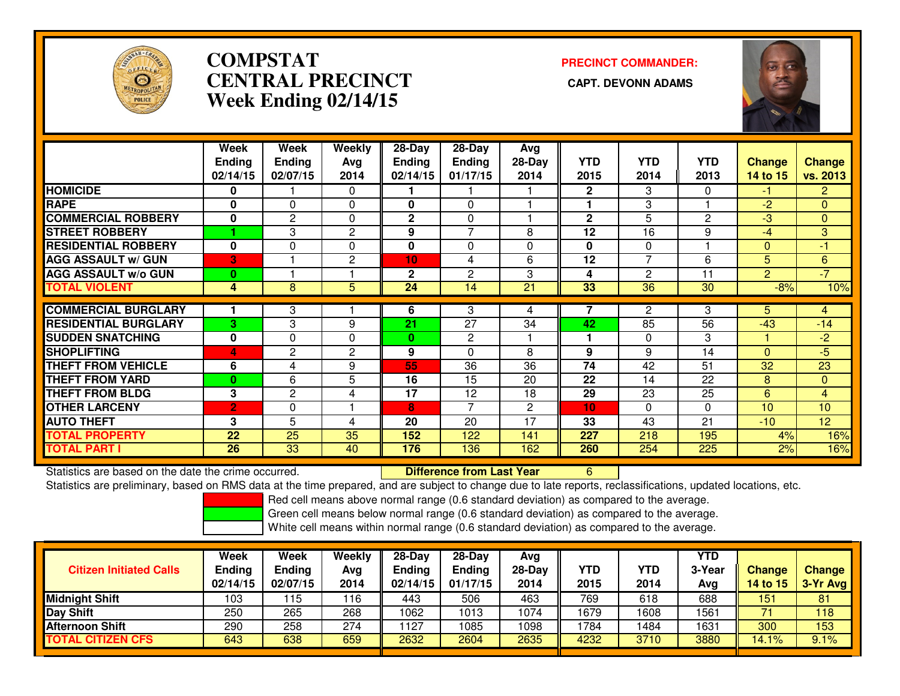

# **COMPSTATCENTRAL PRECINCT Week Ending 02/14/15**

**PRECINCT COMMANDER:**



|                             | Week           | Week          | <b>Weekly</b>  | 28-Day          | $28$ -Day     | Avg      |              |                |              |                |                |
|-----------------------------|----------------|---------------|----------------|-----------------|---------------|----------|--------------|----------------|--------------|----------------|----------------|
|                             | <b>Ending</b>  | <b>Ending</b> | Ava            | <b>Ending</b>   | <b>Ending</b> | $28-Day$ | <b>YTD</b>   | <b>YTD</b>     | YTD          | <b>Change</b>  | <b>Change</b>  |
|                             | 02/14/15       | 02/07/15      | 2014           | 02/14/15        | 01/17/15      | 2014     | 2015         | 2014           | 2013         | 14 to 15       | vs. 2013       |
| <b>HOMICIDE</b>             | 0              |               | $\Omega$       |                 |               |          | $\mathbf{2}$ | 3              | $\Omega$     | $-1$           | $\mathbf{2}$   |
| <b>RAPE</b>                 | 0              | 0             | $\mathbf 0$    | 0               | 0             |          |              | 3              |              | $-2$           | $\mathbf{0}$   |
| <b>COMMERCIAL ROBBERY</b>   | $\mathbf{0}$   | 2             | $\Omega$       | $\mathbf{2}$    | 0             |          | $\mathbf{2}$ | 5              | $\mathbf{2}$ | $-3$           | $\Omega$       |
| <b>STREET ROBBERY</b>       |                | 3             | 2              | 9               | 7             | 8        | 12           | 16             | 9            | $-4$           | 3              |
| <b>RESIDENTIAL ROBBERY</b>  | $\mathbf{0}$   | $\Omega$      | $\Omega$       | 0               | $\Omega$      | 0        | $\mathbf{0}$ | $\Omega$       |              | $\Omega$       | $-1$           |
| <b>AGG ASSAULT w/ GUN</b>   | 3              |               | $\overline{2}$ | 10 <sub>1</sub> | 4             | 6        | 12           | $\overline{7}$ | 6            | 5              | 6              |
| <b>AGG ASSAULT w/o GUN</b>  | $\bf{0}$       |               |                | $\mathbf{2}$    | 2             | 3        | 4            | 2              | 11           | $\overline{2}$ | $-7$           |
| <b>TOTAL VIOLENT</b>        | 4              | 8             | 5              | 24              | 14            | 21       | 33           | 36             | 30           | $-8%$          | 10%            |
|                             |                |               |                |                 |               |          | 7            |                |              |                |                |
| <b>COMMERCIAL BURGLARY</b>  |                | 3             |                | 6               | 3             | 4        |              | $\mathbf{2}$   | 3            | 5.             | 4              |
| <b>RESIDENTIAL BURGLARY</b> | 3              | 3             | 9              | 21              | 27            | 34       | 42           | 85             | 56           | $-43$          | $-14$          |
| <b>SUDDEN SNATCHING</b>     | $\bf{0}$       | 0             | $\Omega$       | 0               | 2             |          |              | $\Omega$       | 3            |                | $-2$           |
| <b>SHOPLIFTING</b>          | 4              | $\mathbf{2}$  | $\overline{2}$ | 9               | 0             | 8        | 9            | 9              | 14           | $\Omega$       | $-5$           |
| <b>THEFT FROM VEHICLE</b>   | 6              | 4             | 9              | 55              | 36            | 36       | 74           | 42             | 51           | 32             | 23             |
| <b>THEFT FROM YARD</b>      | $\bf{0}$       | 6             | 5              | 16              | 15            | 20       | 22           | 14             | 22           | 8              | $\mathbf{0}$   |
| <b>THEFT FROM BLDG</b>      | 3              | 2             | 4              | 17              | 12            | 18       | 29           | 23             | 25           | 6              | $\overline{4}$ |
| <b>OTHER LARCENY</b>        | $\overline{2}$ | 0             |                | 8               | 7             | 2        | 10           | $\Omega$       | $\Omega$     | 10             | 10             |
| <b>AUTO THEFT</b>           | 3              | 5             | 4              | 20              | 20            | 17       | 33           | 43             | 21           | $-10$          | 12             |
| <b>TOTAL PROPERTY</b>       | 22             | 25            | 35             | 152             | 122           | 141      | 227          | 218            | 195          | 4%             | 16%            |
| <b>TOTAL PART I</b>         | 26             | 33            | 40             | 176             | 136           | 162      | 260          | 254            | 225          | 2%             | 16%            |

Statistics are based on the date the crime occurred. **Difference from Last Year** 

Statistics are based on the date the crime occurred.<br>Statistics are preliminary, based on RMS data at the time prepared, and are subject to change due to late reports, reclassifications, updated locations, etc.

Red cell means above normal range (0.6 standard deviation) as compared to the average.

Green cell means below normal range (0.6 standard deviation) as compared to the average.

| <b>Citizen Initiated Calls</b> | Week<br><b>Ending</b><br>02/14/15 | Week<br><b>Ending</b><br>02/07/15 | Weekly<br>Avg<br>2014 | 28-Day<br><b>Ending</b><br>02/14/15 | $28-Dav$<br><b>Ending</b><br>01/17/15 | Ava<br>$28-Day$<br>2014 | <b>YTD</b><br>2015 | YTD<br>2014 | YTD<br>3-Year<br>Avg | <b>Change</b><br>14 to 15 | <b>Change</b><br>3-Yr Avg |
|--------------------------------|-----------------------------------|-----------------------------------|-----------------------|-------------------------------------|---------------------------------------|-------------------------|--------------------|-------------|----------------------|---------------------------|---------------------------|
| Midnight Shift                 | 103                               | 15                                | 116                   | 443                                 | 506                                   | 463                     | 769                | 618         | 688                  | 151                       | 81                        |
| Day Shift                      | 250                               | 265                               | 268                   | 1062                                | 013                                   | 1074                    | 1679               | 1608        | 1561                 |                           | 118                       |
| Afternoon Shift                | 290                               | 258                               | 274                   | 127                                 | 085                                   | 1098                    | '784               | 1484        | 1631                 | 300                       | 153                       |
| <b>TOTAL CITIZEN CFS</b>       | 643                               | 638                               | 659                   | 2632                                | 2604                                  | 2635                    | 4232               | 3710        | 3880                 | 14.1%                     | 9.1%                      |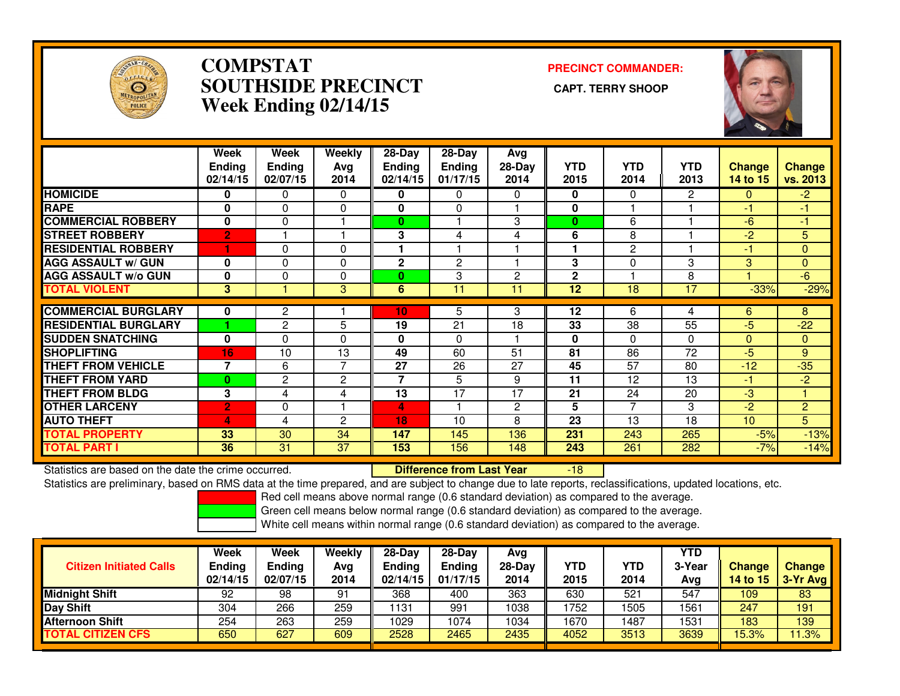

### **COMPSTAT PRECINCT COMMANDER: SOUTHSIDE PRECINCT CAPT. TERRY SHOOPWeek Ending 02/14/15**



|                             | Week<br><b>Ending</b><br>02/14/15 | Week<br><b>Ending</b><br>02/07/15 | Weekly<br>Avg<br>2014 | $28-Day$<br><b>Ending</b><br>02/14/15 | $28-Day$<br><b>Ending</b><br>01/17/15 | Avg<br>$28-Day$<br>2014 | <b>YTD</b><br>2015 | <b>YTD</b><br>2014       | <b>YTD</b><br>2013 | <b>Change</b><br>14 to 15 | <b>Change</b><br>vs. 2013 |
|-----------------------------|-----------------------------------|-----------------------------------|-----------------------|---------------------------------------|---------------------------------------|-------------------------|--------------------|--------------------------|--------------------|---------------------------|---------------------------|
| <b>HOMICIDE</b>             | $\mathbf{0}$                      | 0                                 | $\Omega$              | 0                                     | 0                                     | 0                       | 0                  | $\Omega$                 | 2                  | $\Omega$                  | $-2$                      |
| <b>RAPE</b>                 | $\Omega$                          | 0                                 | 0                     | $\bf{0}$                              | $\Omega$                              |                         | 0                  |                          |                    | -1                        | 41                        |
| <b>COMMERCIAL ROBBERY</b>   | $\bf{0}$                          | $\mathbf{0}$                      |                       | 0                                     |                                       | 3                       | $\bf{0}$           | 6                        |                    | $-6$                      | $-1$                      |
| <b>STREET ROBBERY</b>       | $\overline{2}$                    |                                   |                       | 3                                     | 4                                     | 4                       | 6                  | 8                        |                    | $-2$                      | 5                         |
| <b>RESIDENTIAL ROBBERY</b>  |                                   | 0                                 | $\Omega$              |                                       |                                       |                         |                    | $\overline{2}$           |                    | -1                        | $\mathbf{0}$              |
| <b>AGG ASSAULT w/ GUN</b>   | $\mathbf 0$                       | 0                                 | 0                     | 2                                     | 2                                     |                         | 3                  | 0                        | 3                  | 3                         | $\mathbf{0}$              |
| <b>AGG ASSAULT w/o GUN</b>  | $\bf{0}$                          | 0                                 | $\Omega$              | 0                                     | 3                                     | $\overline{c}$          | $\mathbf{2}$       |                          | 8                  |                           | 6                         |
| <b>TOTAL VIOLENT</b>        | 3                                 |                                   | 3                     | 6                                     | 11                                    | 11                      | 12                 | 18                       | 17                 | $-33%$                    | $-29%$                    |
| <b>COMMERCIAL BURGLARY</b>  | 0                                 | 2                                 |                       | 10                                    | 5                                     | 3                       | 12                 | 6                        | 4                  | 6                         | 8                         |
| <b>RESIDENTIAL BURGLARY</b> |                                   | $\overline{2}$                    | 5                     | $\overline{19}$                       | 21                                    | 18                      | 33                 | $\overline{38}$          | $\overline{55}$    | $-5$                      | $-22$                     |
|                             |                                   |                                   |                       |                                       |                                       |                         |                    |                          |                    |                           |                           |
| <b>SUDDEN SNATCHING</b>     | $\bf{0}$                          | 0                                 | $\Omega$              | $\bf{0}$                              | 0                                     |                         | 0                  | 0                        | $\Omega$           | $\Omega$                  | $\mathbf{0}$              |
| <b>SHOPLIFTING</b>          | 16                                | 10                                | 13                    | 49                                    | 60                                    | 51                      | 81                 | 86                       | 72                 | $-5$                      | 9                         |
| <b>THEFT FROM VEHICLE</b>   | 7                                 | 6                                 | 7                     | 27                                    | 26                                    | 27                      | 45                 | 57                       | 80                 | $-12$                     | $-35$                     |
| <b>THEFT FROM YARD</b>      | $\bf{0}$                          | $\overline{2}$                    | $\overline{2}$        | 7                                     | 5                                     | 9                       | 11                 | 12                       | 13                 | -1                        | $-2$                      |
| <b>THEFT FROM BLDG</b>      | 3                                 | 4                                 | 4                     | 13                                    | 17                                    | 17                      | 21                 | 24                       | 20                 | $-3$                      |                           |
| <b>OTHER LARCENY</b>        | $\overline{2}$                    | 0                                 |                       | 4                                     |                                       | 2                       | 5                  | $\overline{\phantom{a}}$ | 3                  | $-2$                      | $\overline{2}$            |
| <b>AUTO THEFT</b>           | 4                                 | 4                                 | $\overline{c}$        | 18                                    | 10                                    | 8                       | 23                 | 13                       | 18                 | 10                        | 5                         |
| <b>TOTAL PROPERTY</b>       | 33                                | 30                                | 34                    | 147                                   | 145                                   | 136                     | 231                | 243                      | 265                | $-5%$                     | $-13%$                    |
| <b>TOTAL PART I</b>         | 36                                | 31                                | 37                    | 153                                   | 156                                   | 148                     | 243                | 261                      | 282                | $-7%$                     | $-14%$                    |

Statistics are based on the date the crime occurred. **Difference from Last Year** 

-18

Statistics are preliminary, based on RMS data at the time prepared, and are subject to change due to late reports, reclassifications, updated locations, etc.

Red cell means above normal range (0.6 standard deviation) as compared to the average.

Green cell means below normal range (0.6 standard deviation) as compared to the average.

| <b>Citizen Initiated Calls</b> | <b>Week</b><br><b>Ending</b><br>02/14/15 | Week<br><b>Ending</b><br>02/07/15 | Weekly<br>Avg<br>2014 | $28-Dav$<br><b>Ending</b><br>02/14/15 | $28-Dav$<br><b>Ending</b><br>01/17/15 | Ava<br>28-Dav<br>2014 | YTD<br>2015 | YTD<br>2014 | YTD<br>3-Year<br>Ava | <b>Change</b><br>14 to $151$ | <b>Change</b><br>3-Yr Avg |
|--------------------------------|------------------------------------------|-----------------------------------|-----------------------|---------------------------------------|---------------------------------------|-----------------------|-------------|-------------|----------------------|------------------------------|---------------------------|
| <b>Midnight Shift</b>          | 92                                       | 98                                | 91                    | 368                                   | 400                                   | 363                   | 630         | 521         | 547                  | 109                          | 83                        |
| <b>Day Shift</b>               | 304                                      | 266                               | 259                   | 131                                   | 991                                   | 1038                  | 752         | 1505        | 1561                 | 247                          | 191                       |
| <b>Afternoon Shift</b>         | 254                                      | 263                               | 259                   | 1029                                  | 1074                                  | 1034                  | 1670        | 1487        | 1531                 | 183                          | 139                       |
| <b>TOTAL CITIZEN CFS</b>       | 650                                      | 627                               | 609                   | 2528                                  | 2465                                  | 2435                  | 4052        | 3513        | 3639                 | 15.3%                        | 1.3%                      |